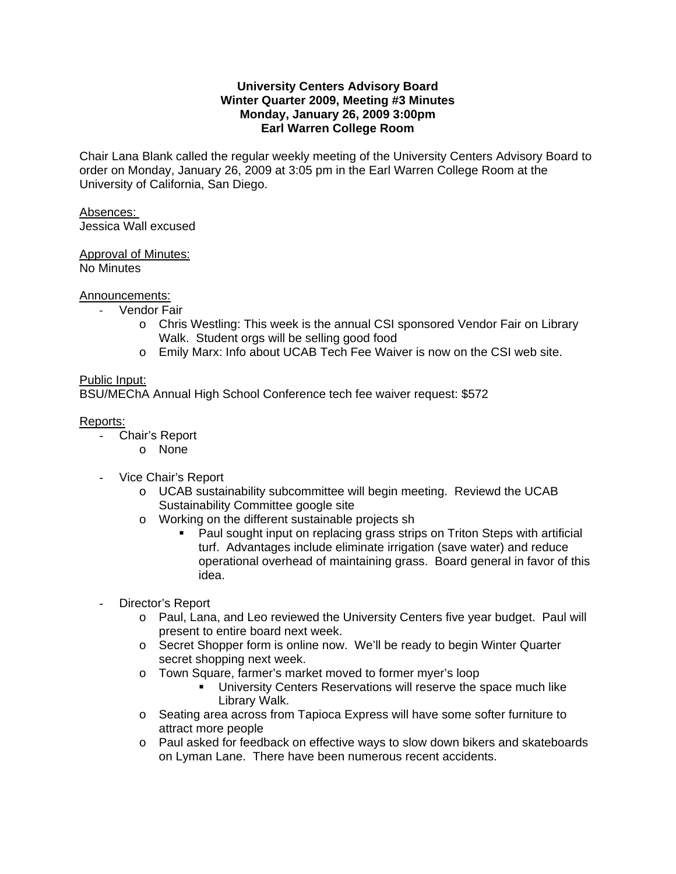### **University Centers Advisory Board Winter Quarter 2009, Meeting #3 Minutes Monday, January 26, 2009 3:00pm Earl Warren College Room**

Chair Lana Blank called the regular weekly meeting of the University Centers Advisory Board to order on Monday, January 26, 2009 at 3:05 pm in the Earl Warren College Room at the University of California, San Diego.

# Absences:

Jessica Wall excused

# Approval of Minutes:

No Minutes

# Announcements:

- ‐ Vendor Fair
	- o Chris Westling: This week is the annual CSI sponsored Vendor Fair on Library Walk. Student orgs will be selling good food
	- o Emily Marx: Info about UCAB Tech Fee Waiver is now on the CSI web site.

# Public Input:

BSU/MEChA Annual High School Conference tech fee waiver request: \$572

### Reports:

- Chair's Report
	- o None
- Vice Chair's Report
	- o UCAB sustainability subcommittee will begin meeting. Reviewd the UCAB Sustainability Committee google site
	- o Working on the different sustainable projects sh
		- Paul sought input on replacing grass strips on Triton Steps with artificial turf. Advantages include eliminate irrigation (save water) and reduce operational overhead of maintaining grass. Board general in favor of this idea.
- Director's Report
	- o Paul, Lana, and Leo reviewed the University Centers five year budget. Paul will present to entire board next week.
	- o Secret Shopper form is online now. We'll be ready to begin Winter Quarter secret shopping next week.
	- o Town Square, farmer's market moved to former myer's loop
		- **University Centers Reservations will reserve the space much like** Library Walk.
	- o Seating area across from Tapioca Express will have some softer furniture to attract more people
	- o Paul asked for feedback on effective ways to slow down bikers and skateboards on Lyman Lane. There have been numerous recent accidents.